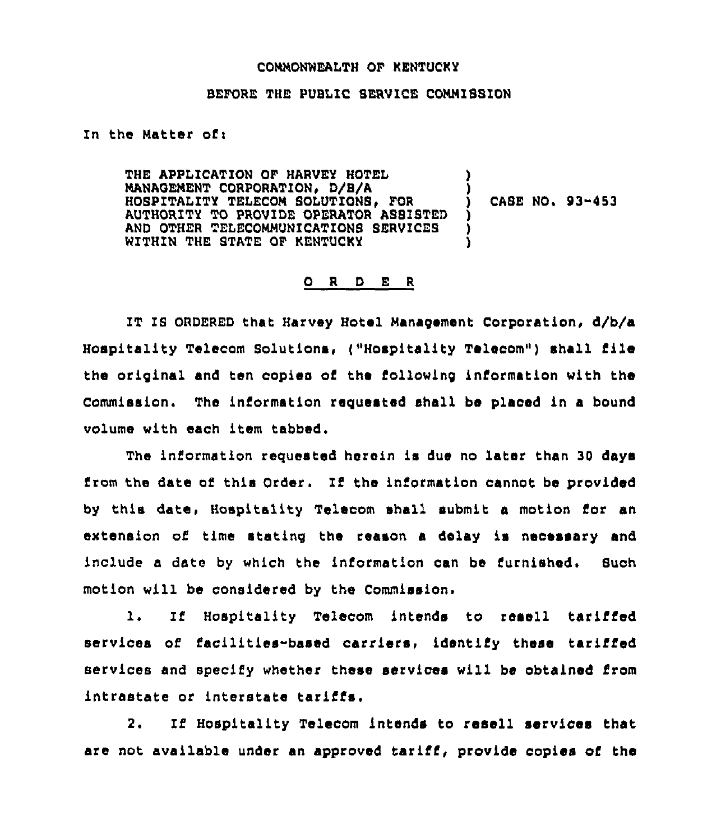## CONNONWEALTH OF KENTUCKY

## BEFORE THE PUBLIC SERVICE COMMISSION

## In the Matter of:

THE APPLICATION OF HARVEY HOTEL MANAGEMENT CORPORATION. D/B/A HOSPITALITY TELECOM SOLUTIONS, FOR CASE NO. 93-453 AUTHORITY TO PROVIDE OPERATOR ASSISTED AND OTHER TELECOMMUNICATIONS SERVICES WITHIN THE STATE OF RENTUCKY

## ORDER

IT IS ORDERED that Harvey Hotel Management Corporation, d/b/a Hospitality Telecom Solutions, ("Hospitality Telecom") shall file the original and ten copies of the following information with the Commission. The information requested shall be placed in a bound volume with each item tabbed.

The information requested herein is due no later than 30 days from the date of this Order. If the information cannot be provided by this date, Hospitality Telecom shall submit a motion for an extension of time stating the reason a delay is necessary and include a date by which the information can be furnished. Such motion will be considered by the Commission.

 $\mathbf{1}$ . If Hospitality Telecom intends to resell tariffed services of facilities-based carriers, identify these tariffed services and specify whether these services will be obtained from intrastate or interstate tariffs.

If Hospitality Telecom intends to resell services that 2. are not available under an approved tariff, provide copies of the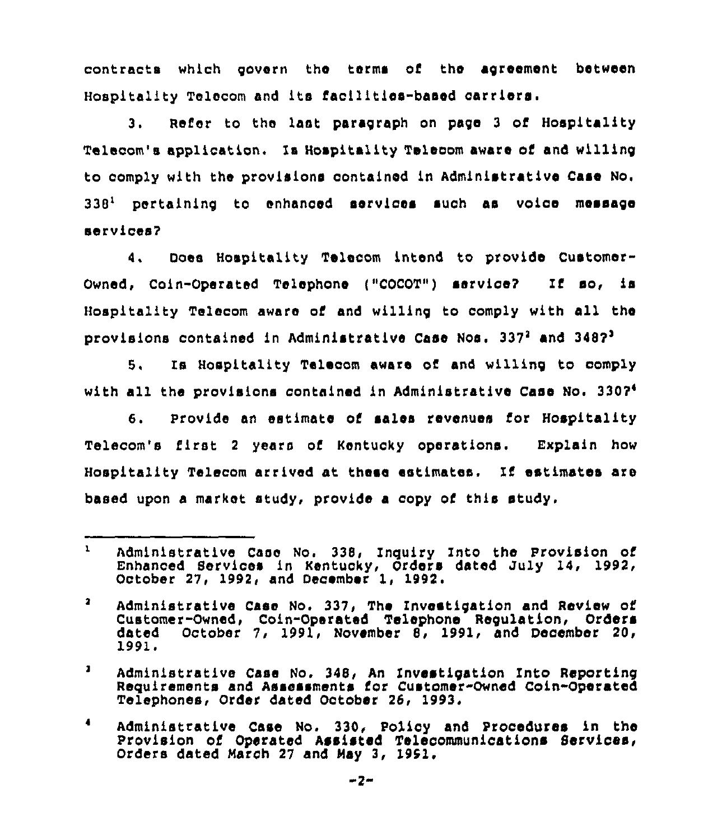contracts which govorn tho terms of the agreement between Hospitality Tolocom and its facilitlos-basod carriers <sup>~</sup>

3. Refer to the last paragraph on page 3 of Hospitality Talacom's application, Is Hospitality Talocom aware of and willing to comply with the provisions contained in Administrative Case No. 338<sup>1</sup> pertaining to enhanced services such as voice message sarvlcos7

4. Does Hospitality Telacom intend to provide Customor-Ownad, Coin-Operated Tolephono {"COCOT") sorvlce7 If ao, ls Hospitality Telacom awaro of and willing to comply with all the provisions contained in Administrative Case Nos. 337<sup>2</sup> and 3487<sup>3</sup>

Is Hospitality Telocom aware of and willing to oomply 5. with all the provisions contained ln Administrative Case No.

Provide an estlmato of salos revenues for Hospitality 6. Telacom's first <sup>2</sup> years of Kontucky operations. Explain how Hospitality Talecom arrived at those estimates, If estimates are based upon a markot study, provide a copy of this study.

 $\mathbf{1}$ Administrative Case No. 338, Inquiry Into the Provision of Enhanced Services in Kentucky, Orders dated July 14, 1992, October 27, 1992, and December 1, 1992.

 $\mathbf{a}$ Administrative Case No. 337, The Invostigation and Review of Customer-Owned, Coin-Operated Telephone Regulation, Orders October 7, 1991, November 8, 1991, and December 20, 1991

 $\mathbf{J}$ Administrative Case No. 348, An Investigation Into Reporting Requirements and Assessments for Customer-Owned Coin-Operated Telephones, Order dated October 26, 1993.

Admlniatratl,ve Case No. 330, Policy and Procedures ln the Provision of Operated Assisted Telecommunications Services, Orders dated March 27 and May 3, 1951.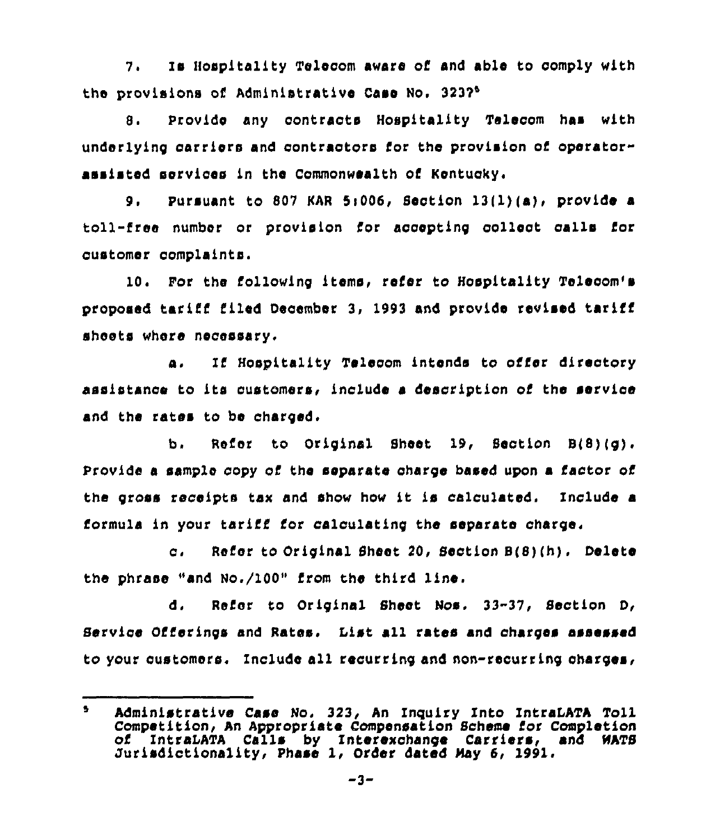7, Ie Hospitality Telecom aware of and able to comply with the provisions of Administrative Case No. 3237<sup>6</sup>

 $8.$ Provide any contracts Hospitality Telecom has with underlying oarriers and contractors for the provision of operatorassisted services in the Commonwealth of Kentucky.

9. Pursuant to 807 KAR 5:006, Section 13(1)(a), provide a toll-free number or provision for accepting collect oalls for customer complaints.

10. Por the following items, refer to Hospitality Telecom's proposed tariff filed December 3, 1993 and provide revised tariff sheets where necessary,

a. Ii'ospitality Telecom intends to offer directory assistance to its customers, include a description of the service and the rates to be charged.

b. Refer to Original Sheet 19, Section S(8)(g). Provide a sample copy of the separate charge based upon a factor of the gross receipts tax and show how it is calculated. Include a formula in your tariff for calculating the separate charge.

c. Refer to Original Sheet 20, Section 8(8)(h). Delete the phrase "and No./100" from the third line.

d, Refer to Original Sheet Nos. 33-37, Section D, Service Offerings and Rates. list all rates and charges assessed to your customers. Include all recurring and non-recurring charges,

 $\bullet$ Administrative Case No, 323, An Inguiry Into IntraLATA Toll Competition, An Appropriate ComPensation Scheme for Completion of IntrsLATA Calls by Interexchange Carriers, and NATB Jurisdictionality, Phase 1, Order dated May 6, 1991.